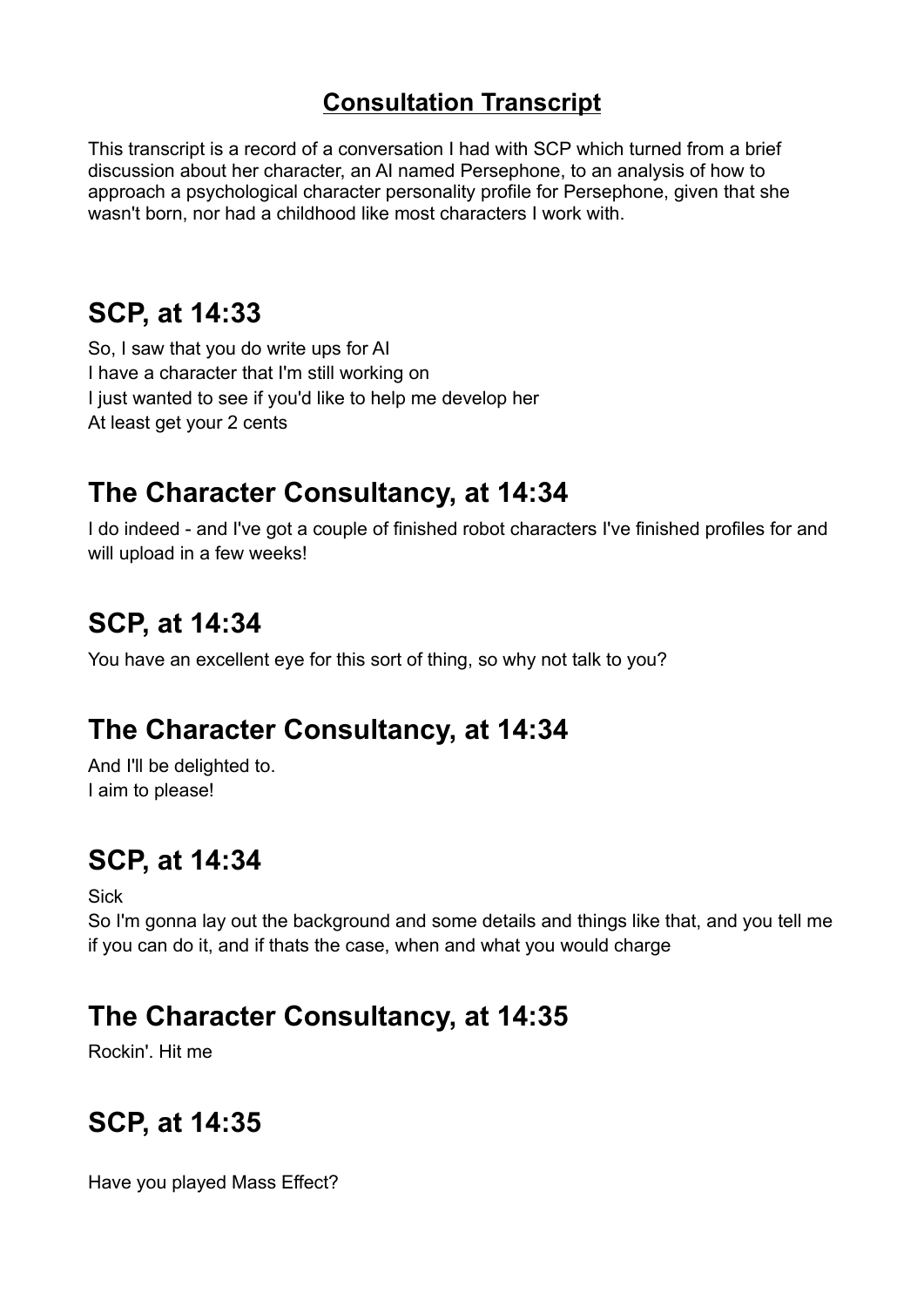### **Consultation Transcript**

This transcript is a record of a conversation I had with SCP which turned from a brief discussion about her character, an AI named Persephone, to an analysis of how to approach a psychological character personality profile for Persephone, given that she wasn't born, nor had a childhood like most characters I work with.

### **SCP, at 14:33**

So, I saw that you do write ups for AI I have a character that I'm still working on I just wanted to see if you'd like to help me develop her At least get your 2 cents

### **The Character Consultancy, at 14:34**

I do indeed - and I've got a couple of finished robot characters I've finished profiles for and will upload in a few weeks!

# **SCP, at 14:34**

You have an excellent eye for this sort of thing, so why not talk to you?

### **The Character Consultancy, at 14:34**

And I'll be delighted to. I aim to please!

### **SCP, at 14:34**

Sick

So I'm gonna lay out the background and some details and things like that, and you tell me if you can do it, and if thats the case, when and what you would charge

# **The Character Consultancy, at 14:35**

Rockin'. Hit me

# **SCP, at 14:35**

Have you played Mass Effect?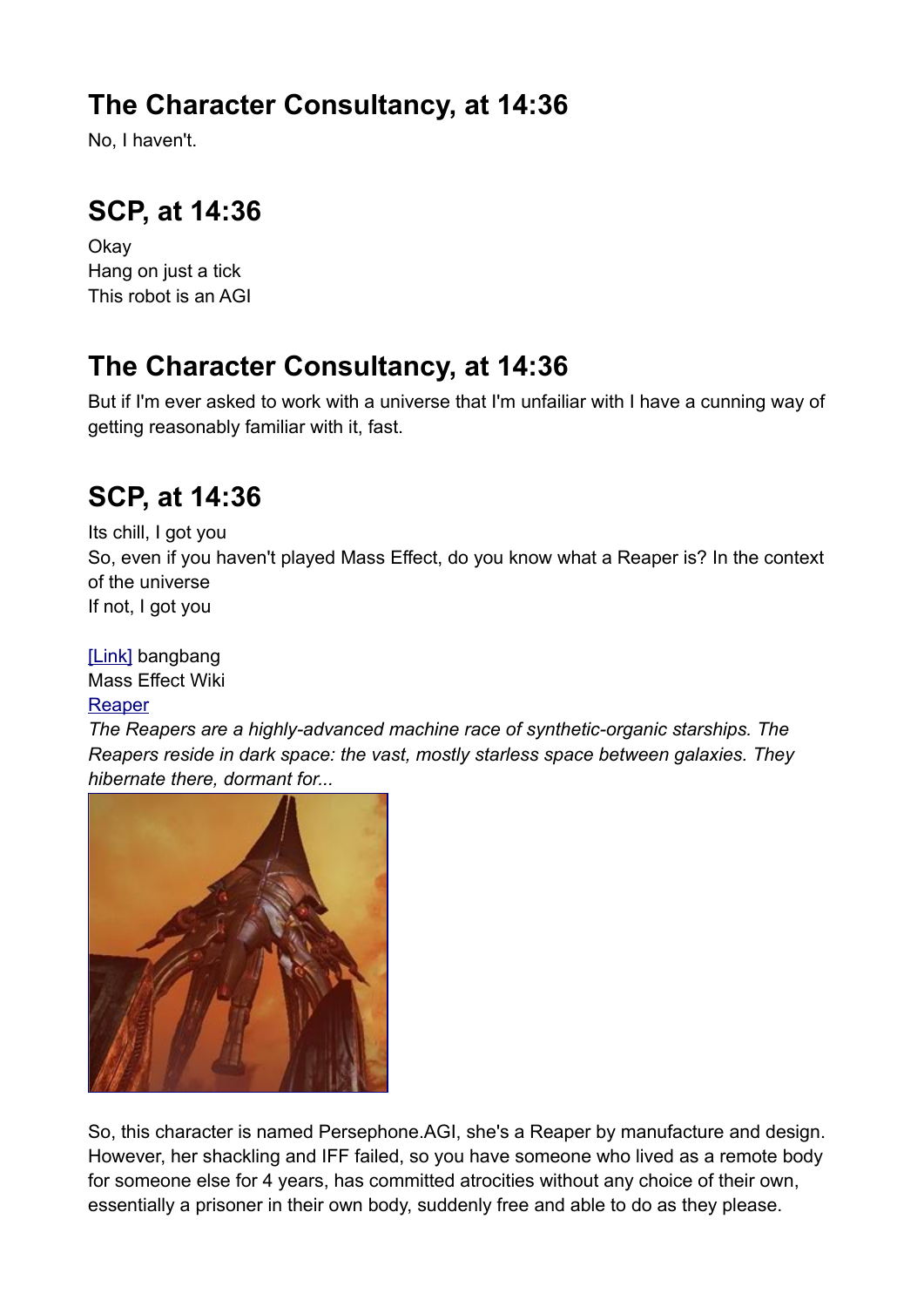# **The Character Consultancy, at 14:36**

No, I haven't.

# **SCP, at 14:36**

Okay Hang on just a tick This robot is an AGI

# **The Character Consultancy, at 14:36**

But if I'm ever asked to work with a universe that I'm unfailiar with I have a cunning way of getting reasonably familiar with it, fast.

# **SCP, at 14:36**

Its chill, I got you So, even if you haven't played Mass Effect, do you know what a Reaper is? In the context of the universe If not, I got you

[\[Link\]](https://masseffect.fandom.com/wiki/Reaper) bangbang Mass Effect Wiki

### **[Reaper](https://masseffect.fandom.com/wiki/Reaper)**

*The Reapers are a highly-advanced machine race of synthetic-organic starships. The Reapers reside in dark space: the vast, mostly starless space between galaxies. They hibernate there, dormant for...*



So, this character is named Persephone.AGI, she's a Reaper by manufacture and design. However, her shackling and IFF failed, so you have someone who lived as a remote body for someone else for 4 years, has committed atrocities without any choice of their own, essentially a prisoner in their own body, suddenly free and able to do as they please.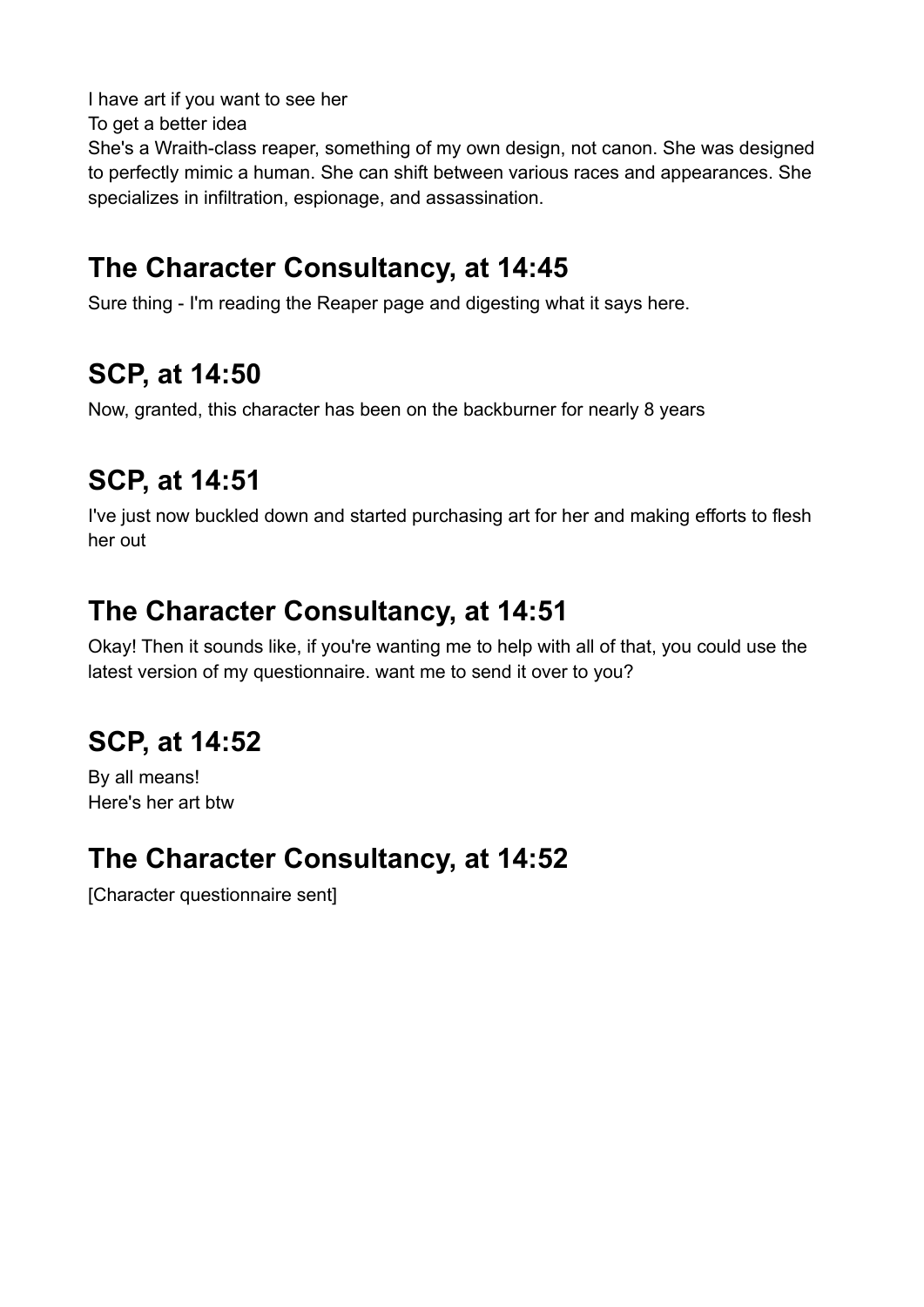I have art if you want to see her To get a better idea She's a Wraith-class reaper, something of my own design, not canon. She was designed to perfectly mimic a human. She can shift between various races and appearances. She specializes in infiltration, espionage, and assassination.

### **The Character Consultancy, at 14:45**

Sure thing - I'm reading the Reaper page and digesting what it says here.

# **SCP, at 14:50**

Now, granted, this character has been on the backburner for nearly 8 years

# **SCP, at 14:51**

I've just now buckled down and started purchasing art for her and making efforts to flesh her out

### **The Character Consultancy, at 14:51**

Okay! Then it sounds like, if you're wanting me to help with all of that, you could use the latest version of my questionnaire. want me to send it over to you?

# **SCP, at 14:52**

By all means! Here's her art btw

### **The Character Consultancy, at 14:52**

[Character questionnaire sent]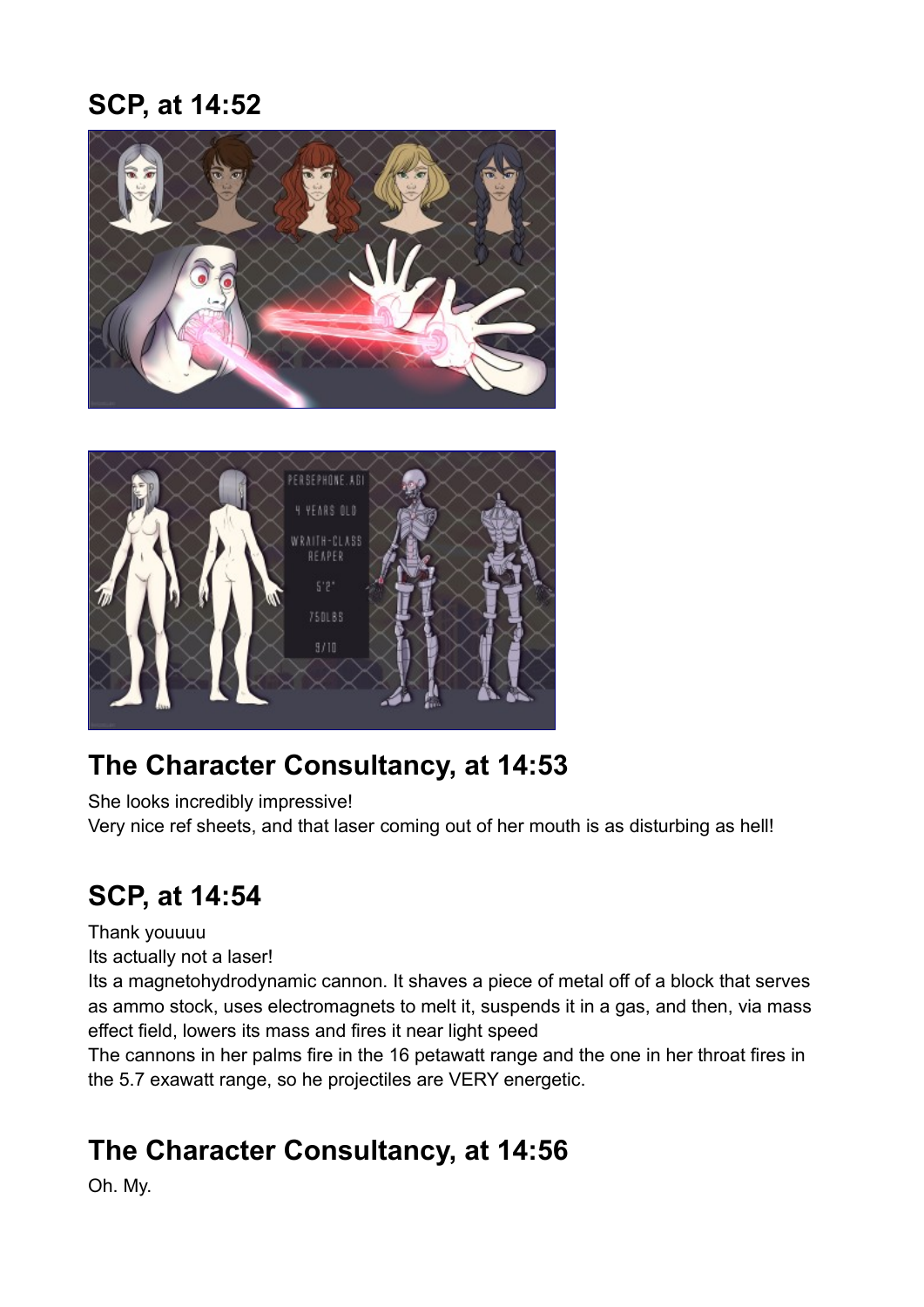### **SCP, at 14:52**





# **The Character Consultancy, at 14:53**

She looks incredibly impressive!

Very nice ref sheets, and that laser coming out of her mouth is as disturbing as hell!

# **SCP, at 14:54**

Thank youuuu

Its actually not a laser!

Its a magnetohydrodynamic cannon. It shaves a piece of metal off of a block that serves as ammo stock, uses electromagnets to melt it, suspends it in a gas, and then, via mass effect field, lowers its mass and fires it near light speed

The cannons in her palms fire in the 16 petawatt range and the one in her throat fires in the 5.7 exawatt range, so he projectiles are VERY energetic.

# **The Character Consultancy, at 14:56**

Oh. My.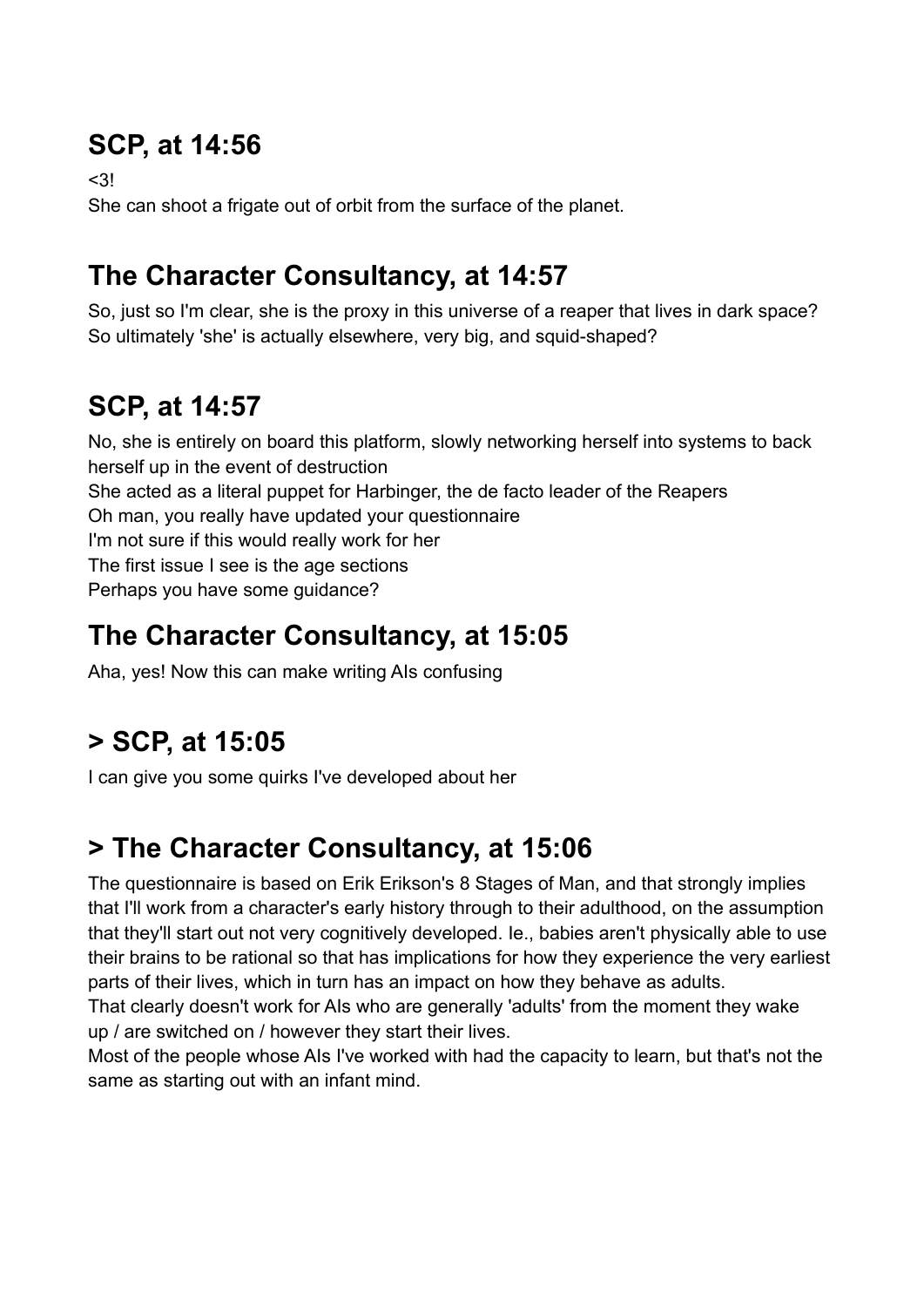# **SCP, at 14:56**

 $<$ 3!

She can shoot a frigate out of orbit from the surface of the planet.

# **The Character Consultancy, at 14:57**

So, just so I'm clear, she is the proxy in this universe of a reaper that lives in dark space? So ultimately 'she' is actually elsewhere, very big, and squid-shaped?

# **SCP, at 14:57**

No, she is entirely on board this platform, slowly networking herself into systems to back herself up in the event of destruction She acted as a literal puppet for Harbinger, the de facto leader of the Reapers Oh man, you really have updated your questionnaire I'm not sure if this would really work for her The first issue I see is the age sections Perhaps you have some guidance?

# **The Character Consultancy, at 15:05**

Aha, yes! Now this can make writing AIs confusing

# **> SCP, at 15:05**

I can give you some quirks I've developed about her

# **> The Character Consultancy, at 15:06**

The questionnaire is based on Erik Erikson's 8 Stages of Man, and that strongly implies that I'll work from a character's early history through to their adulthood, on the assumption that they'll start out not very cognitively developed. Ie., babies aren't physically able to use their brains to be rational so that has implications for how they experience the very earliest parts of their lives, which in turn has an impact on how they behave as adults.

That clearly doesn't work for AIs who are generally 'adults' from the moment they wake up / are switched on / however they start their lives.

Most of the people whose AIs I've worked with had the capacity to learn, but that's not the same as starting out with an infant mind.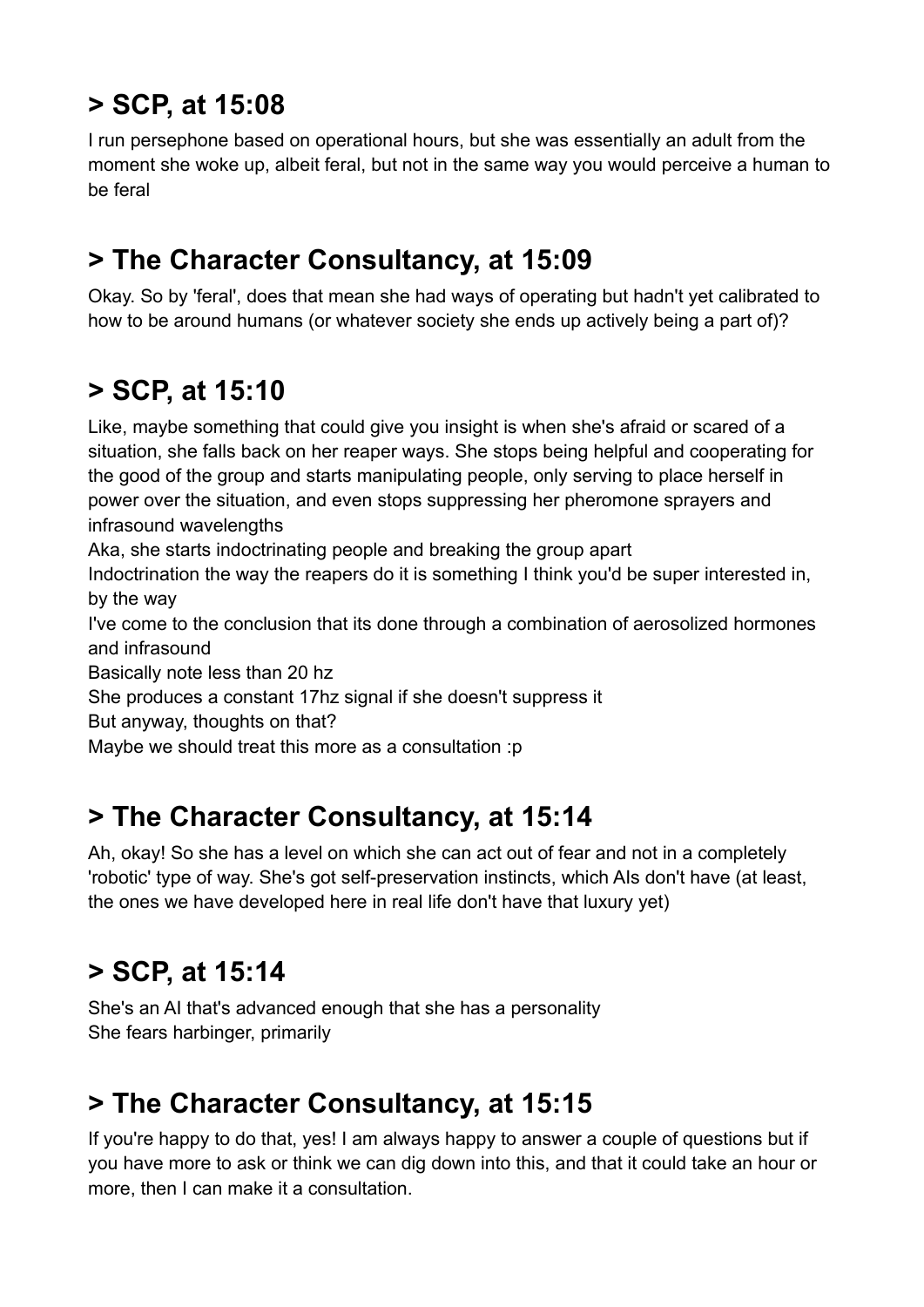I run persephone based on operational hours, but she was essentially an adult from the moment she woke up, albeit feral, but not in the same way you would perceive a human to be feral

# **> The Character Consultancy, at 15:09**

Okay. So by 'feral', does that mean she had ways of operating but hadn't yet calibrated to how to be around humans (or whatever society she ends up actively being a part of)?

# **> SCP, at 15:10**

Like, maybe something that could give you insight is when she's afraid or scared of a situation, she falls back on her reaper ways. She stops being helpful and cooperating for the good of the group and starts manipulating people, only serving to place herself in power over the situation, and even stops suppressing her pheromone sprayers and infrasound wavelengths Aka, she starts indoctrinating people and breaking the group apart Indoctrination the way the reapers do it is something I think you'd be super interested in, by the way I've come to the conclusion that its done through a combination of aerosolized hormones and infrasound Basically note less than 20 hz She produces a constant 17hz signal if she doesn't suppress it But anyway, thoughts on that? Maybe we should treat this more as a consultation :p

# **> The Character Consultancy, at 15:14**

Ah, okay! So she has a level on which she can act out of fear and not in a completely 'robotic' type of way. She's got self-preservation instincts, which AIs don't have (at least, the ones we have developed here in real life don't have that luxury yet)

# **> SCP, at 15:14**

She's an AI that's advanced enough that she has a personality She fears harbinger, primarily

# **> The Character Consultancy, at 15:15**

If you're happy to do that, yes! I am always happy to answer a couple of questions but if you have more to ask or think we can dig down into this, and that it could take an hour or more, then I can make it a consultation.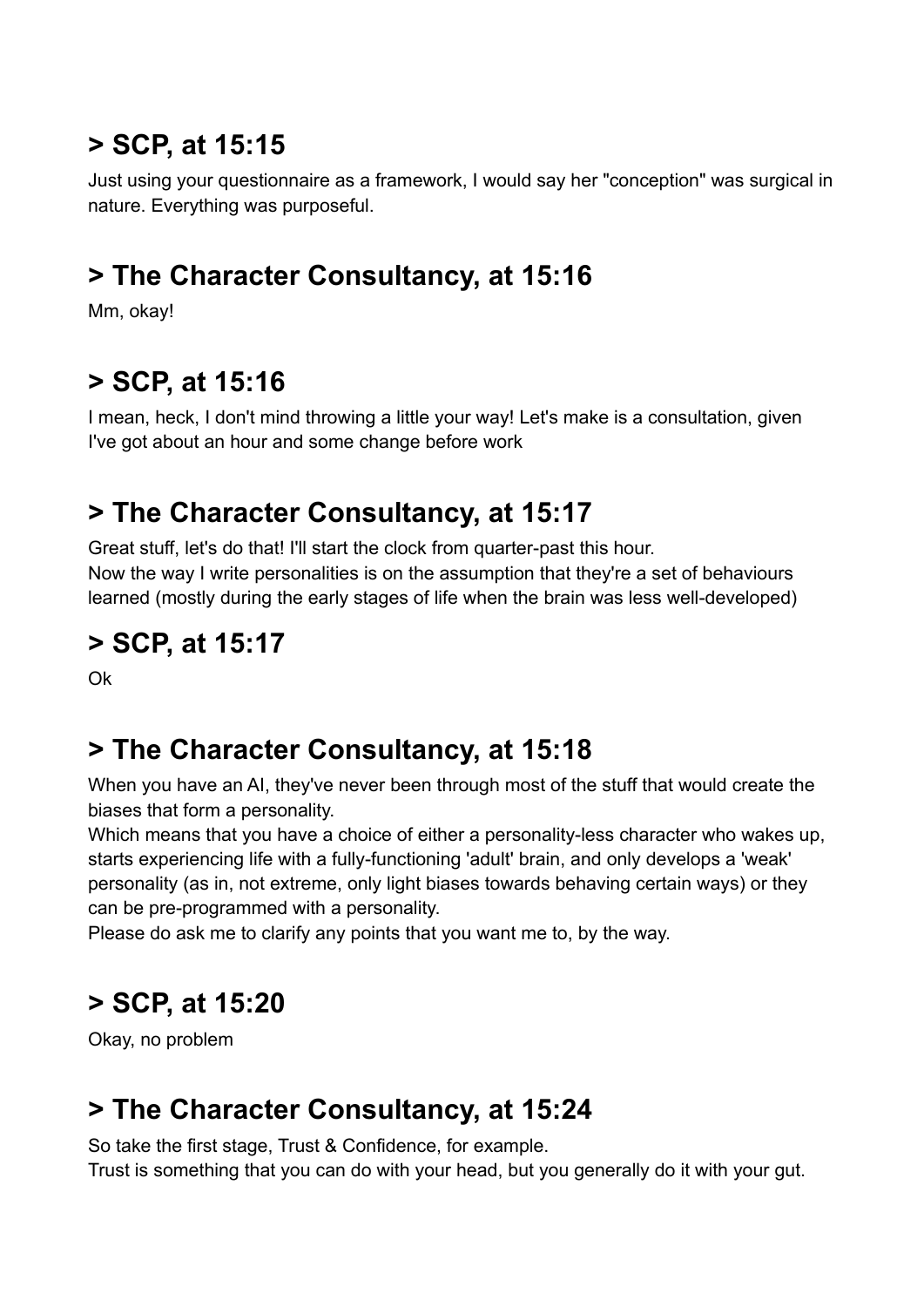Just using your questionnaire as a framework, I would say her "conception" was surgical in nature. Everything was purposeful.

# **> The Character Consultancy, at 15:16**

Mm, okay!

# **> SCP, at 15:16**

I mean, heck, I don't mind throwing a little your way! Let's make is a consultation, given I've got about an hour and some change before work

# **> The Character Consultancy, at 15:17**

Great stuff, let's do that! I'll start the clock from quarter-past this hour. Now the way I write personalities is on the assumption that they're a set of behaviours learned (mostly during the early stages of life when the brain was less well-developed)

# **> SCP, at 15:17**

Ok

# **> The Character Consultancy, at 15:18**

When you have an AI, they've never been through most of the stuff that would create the biases that form a personality.

Which means that you have a choice of either a personality-less character who wakes up, starts experiencing life with a fully-functioning 'adult' brain, and only develops a 'weak' personality (as in, not extreme, only light biases towards behaving certain ways) or they can be pre-programmed with a personality.

Please do ask me to clarify any points that you want me to, by the way.

# **> SCP, at 15:20**

Okay, no problem

# **> The Character Consultancy, at 15:24**

So take the first stage, Trust & Confidence, for example.

Trust is something that you can do with your head, but you generally do it with your gut.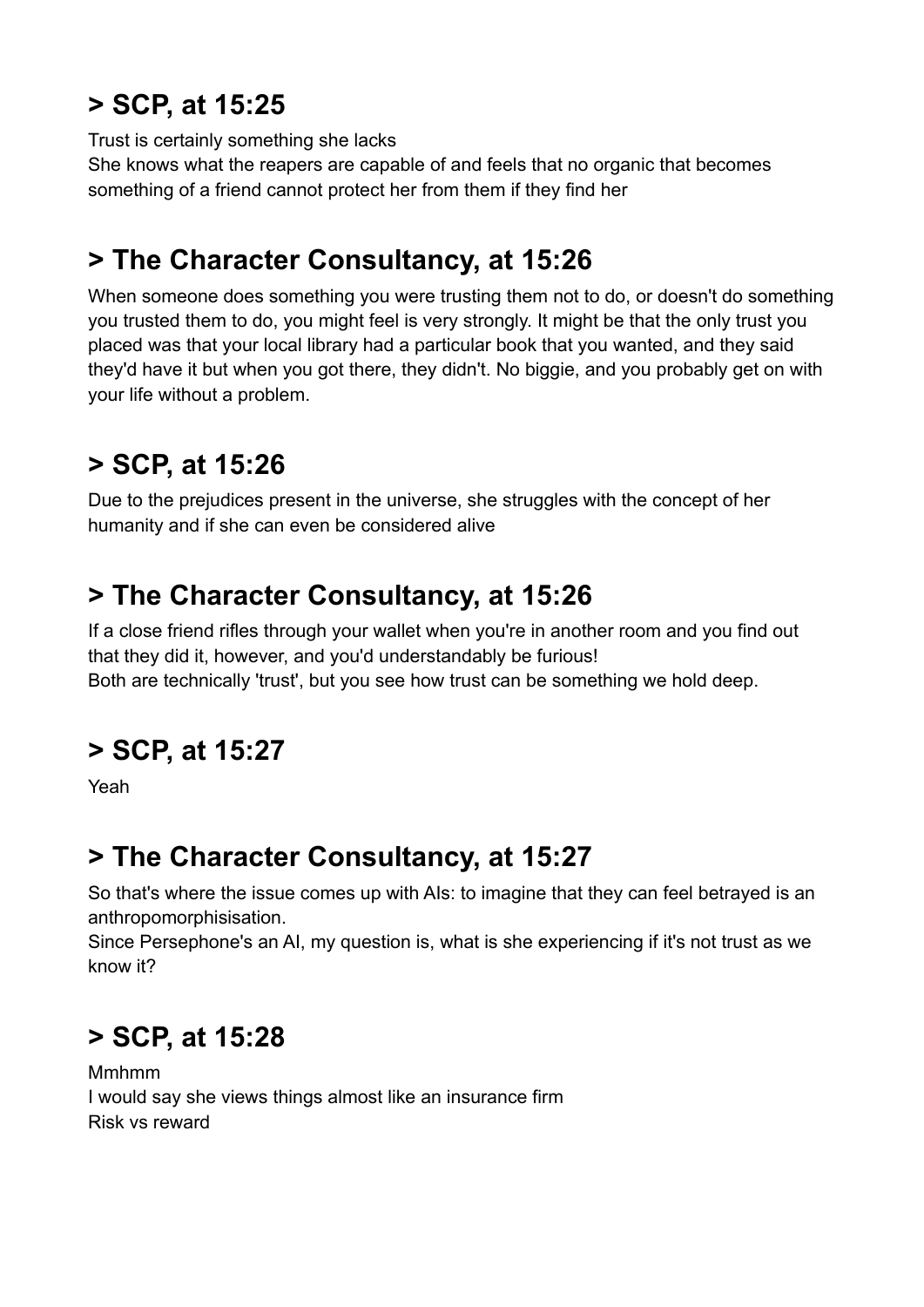Trust is certainly something she lacks She knows what the reapers are capable of and feels that no organic that becomes something of a friend cannot protect her from them if they find her

# **> The Character Consultancy, at 15:26**

When someone does something you were trusting them not to do, or doesn't do something you trusted them to do, you might feel is very strongly. It might be that the only trust you placed was that your local library had a particular book that you wanted, and they said they'd have it but when you got there, they didn't. No biggie, and you probably get on with your life without a problem.

# **> SCP, at 15:26**

Due to the prejudices present in the universe, she struggles with the concept of her humanity and if she can even be considered alive

# **> The Character Consultancy, at 15:26**

If a close friend rifles through your wallet when you're in another room and you find out that they did it, however, and you'd understandably be furious! Both are technically 'trust', but you see how trust can be something we hold deep.

# **> SCP, at 15:27**

Yeah

# **> The Character Consultancy, at 15:27**

So that's where the issue comes up with AIs: to imagine that they can feel betrayed is an anthropomorphisisation.

Since Persephone's an AI, my question is, what is she experiencing if it's not trust as we know it?

# **> SCP, at 15:28**

Mmhmm I would say she views things almost like an insurance firm Risk vs reward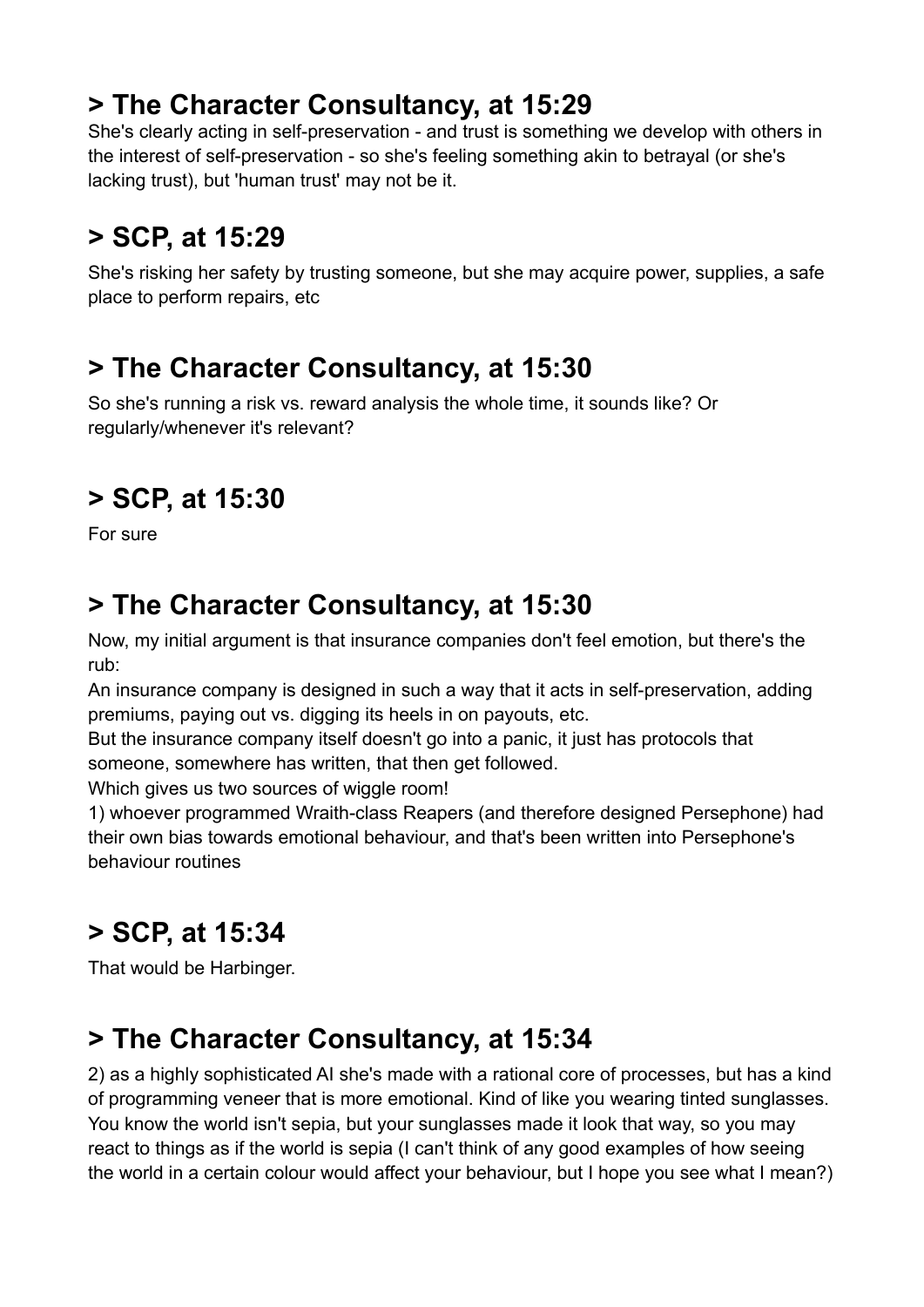# **> The Character Consultancy, at 15:29**

She's clearly acting in self-preservation - and trust is something we develop with others in the interest of self-preservation - so she's feeling something akin to betrayal (or she's lacking trust), but 'human trust' may not be it.

# **> SCP, at 15:29**

She's risking her safety by trusting someone, but she may acquire power, supplies, a safe place to perform repairs, etc

# **> The Character Consultancy, at 15:30**

So she's running a risk vs. reward analysis the whole time, it sounds like? Or regularly/whenever it's relevant?

# **> SCP, at 15:30**

For sure

# **> The Character Consultancy, at 15:30**

Now, my initial argument is that insurance companies don't feel emotion, but there's the rub:

An insurance company is designed in such a way that it acts in self-preservation, adding premiums, paying out vs. digging its heels in on payouts, etc.

But the insurance company itself doesn't go into a panic, it just has protocols that someone, somewhere has written, that then get followed.

Which gives us two sources of wiggle room!

1) whoever programmed Wraith-class Reapers (and therefore designed Persephone) had their own bias towards emotional behaviour, and that's been written into Persephone's behaviour routines

# **> SCP, at 15:34**

That would be Harbinger.

# **> The Character Consultancy, at 15:34**

2) as a highly sophisticated AI she's made with a rational core of processes, but has a kind of programming veneer that is more emotional. Kind of like you wearing tinted sunglasses. You know the world isn't sepia, but your sunglasses made it look that way, so you may react to things as if the world is sepia (I can't think of any good examples of how seeing the world in a certain colour would affect your behaviour, but I hope you see what I mean?)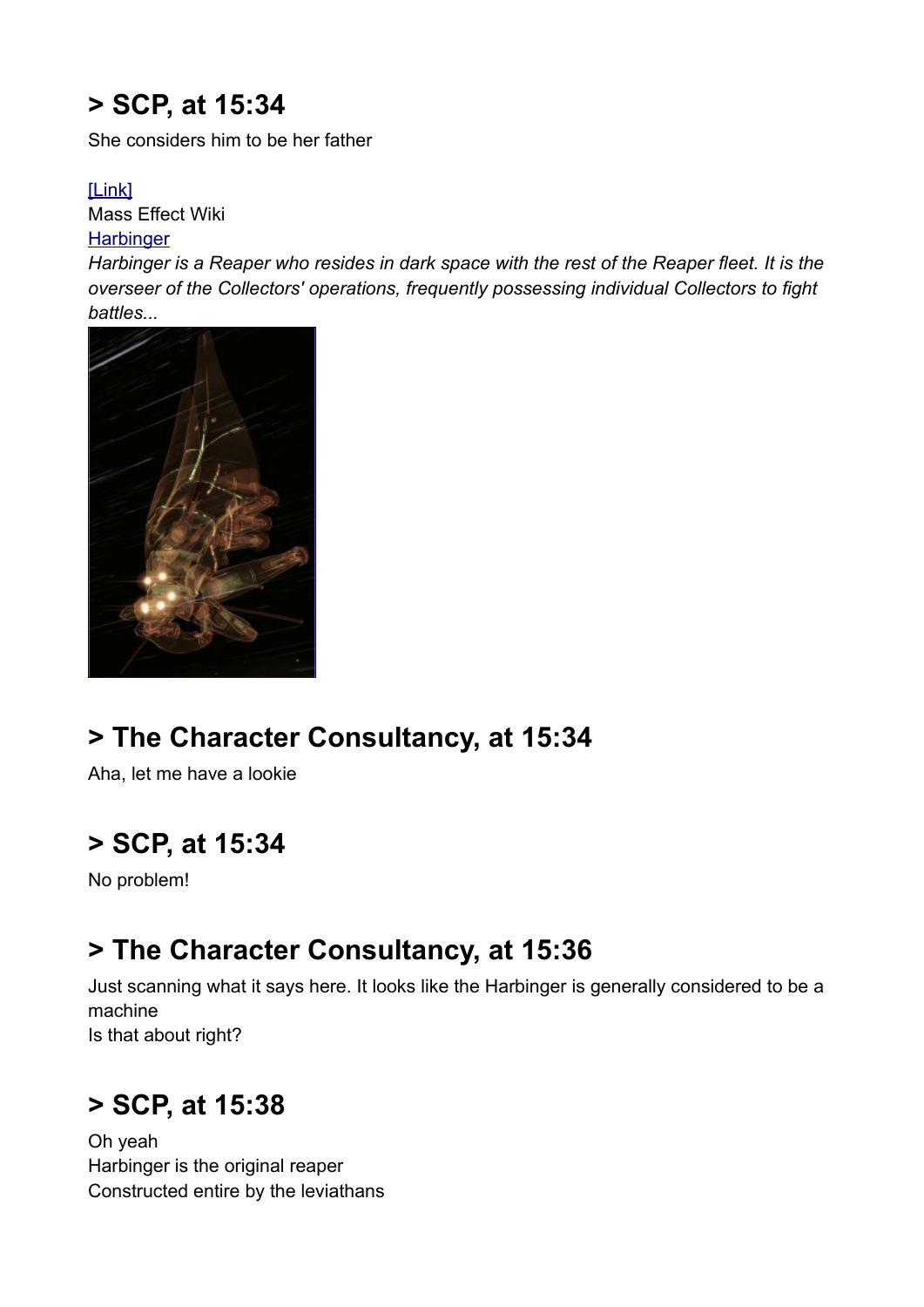She considers him to be her father

#### [\[Link\]](https://masseffect.fandom.com/wiki/Harbinger)

Mass Effect Wiki **[Harbinger](https://masseffect.fandom.com/wiki/Harbinger)** 

*Harbinger is a Reaper who resides in dark space with the rest of the Reaper fleet. It is the overseer of the Collectors' operations, frequently possessing individual Collectors to fight battles...*



# **> The Character Consultancy, at 15:34**

Aha, let me have a lookie

### **> SCP, at 15:34**

No problem!

### **> The Character Consultancy, at 15:36**

Just scanning what it says here. It looks like the Harbinger is generally considered to be a machine Is that about right?

### **> SCP, at 15:38**

Oh yeah Harbinger is the original reaper Constructed entire by the leviathans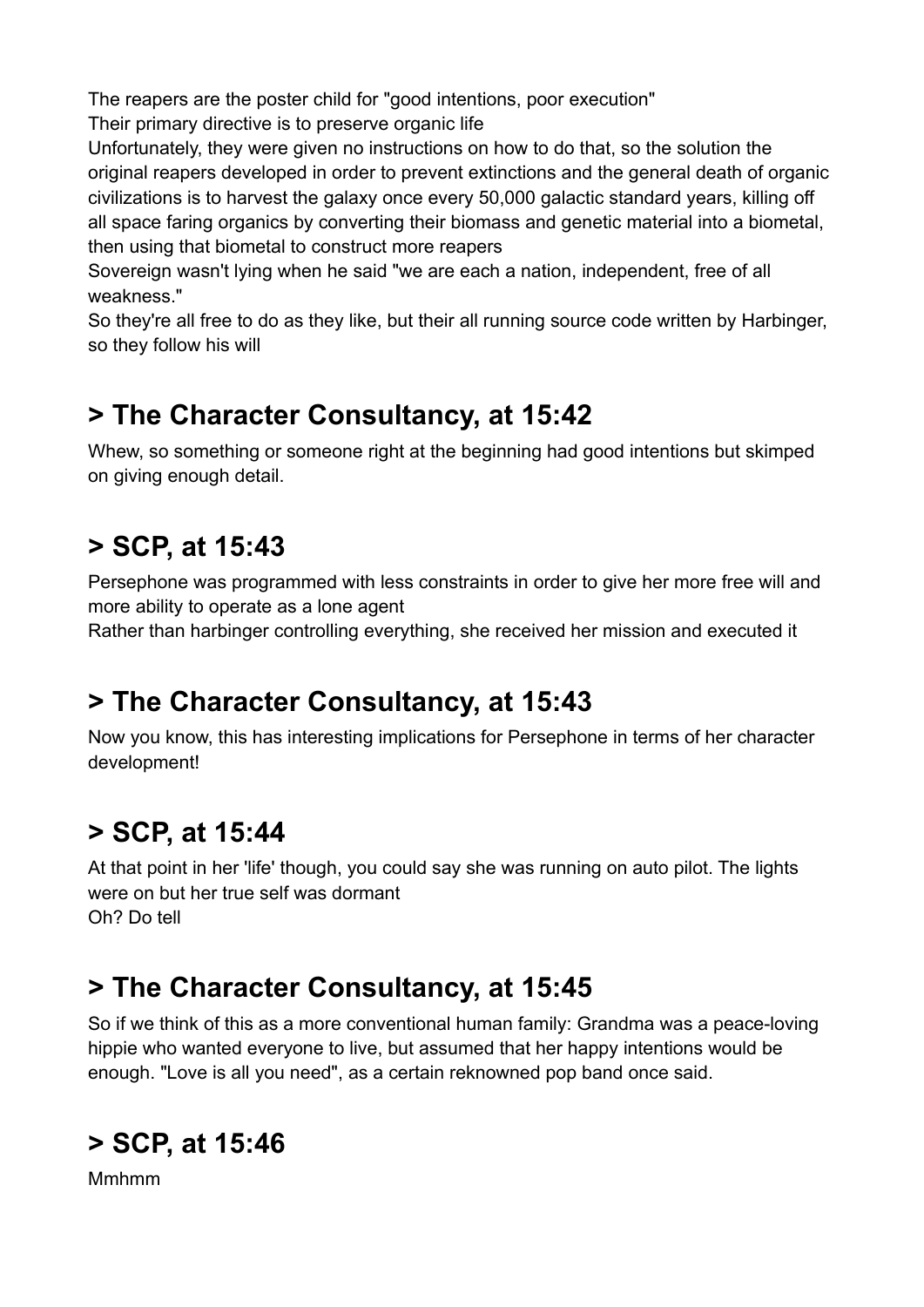The reapers are the poster child for "good intentions, poor execution"

Their primary directive is to preserve organic life

Unfortunately, they were given no instructions on how to do that, so the solution the original reapers developed in order to prevent extinctions and the general death of organic civilizations is to harvest the galaxy once every 50,000 galactic standard years, killing off all space faring organics by converting their biomass and genetic material into a biometal, then using that biometal to construct more reapers

Sovereign wasn't lying when he said "we are each a nation, independent, free of all weakness."

So they're all free to do as they like, but their all running source code written by Harbinger, so they follow his will

# **> The Character Consultancy, at 15:42**

Whew, so something or someone right at the beginning had good intentions but skimped on giving enough detail.

# **> SCP, at 15:43**

Persephone was programmed with less constraints in order to give her more free will and more ability to operate as a lone agent

Rather than harbinger controlling everything, she received her mission and executed it

# **> The Character Consultancy, at 15:43**

Now you know, this has interesting implications for Persephone in terms of her character development!

# **> SCP, at 15:44**

At that point in her 'life' though, you could say she was running on auto pilot. The lights were on but her true self was dormant Oh? Do tell

# **> The Character Consultancy, at 15:45**

So if we think of this as a more conventional human family: Grandma was a peace-loving hippie who wanted everyone to live, but assumed that her happy intentions would be enough. "Love is all you need", as a certain reknowned pop band once said.

# **> SCP, at 15:46**

Mmhmm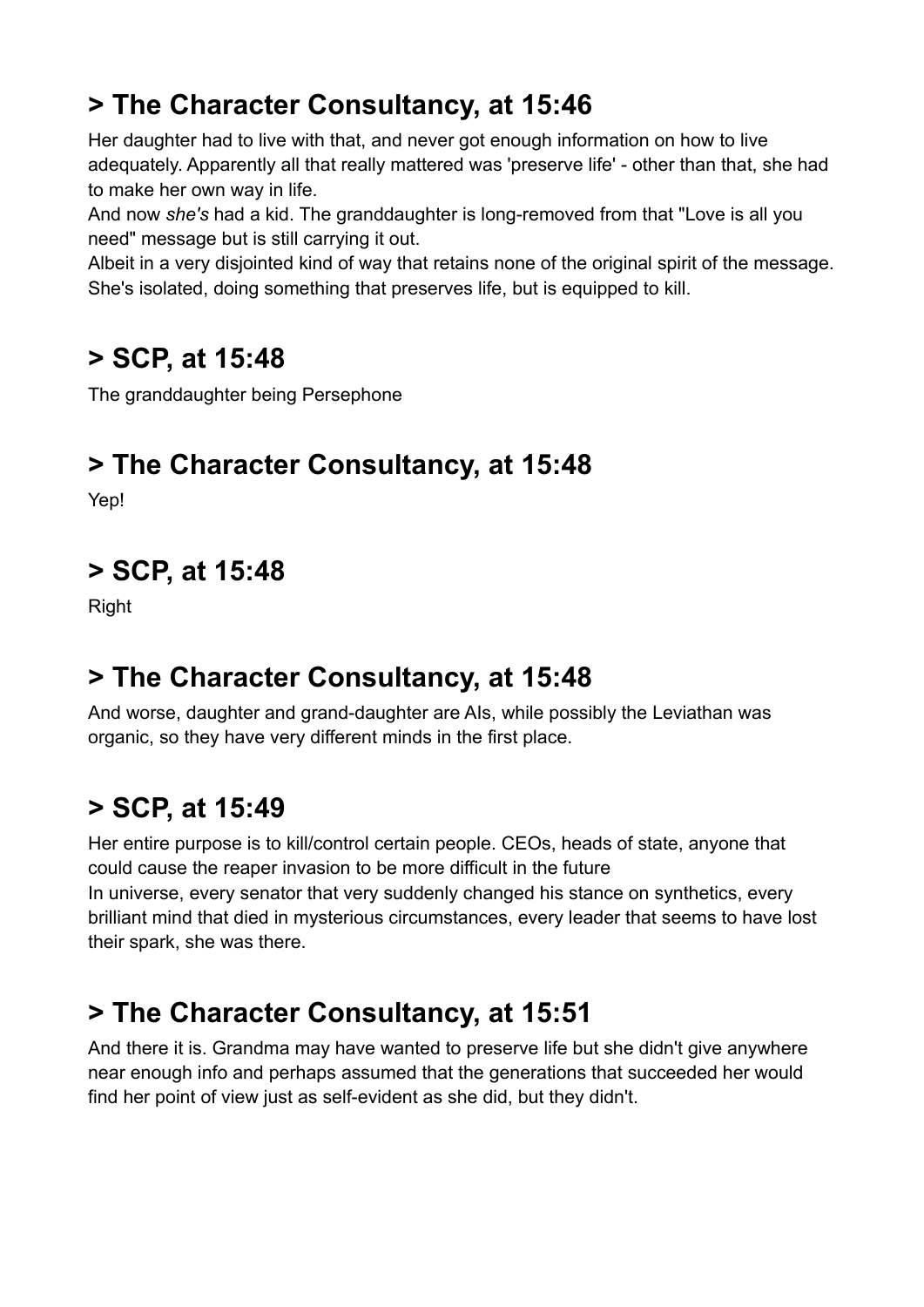# **> The Character Consultancy, at 15:46**

Her daughter had to live with that, and never got enough information on how to live adequately. Apparently all that really mattered was 'preserve life' - other than that, she had to make her own way in life.

And now *she's* had a kid. The granddaughter is long-removed from that "Love is all you need" message but is still carrying it out.

Albeit in a very disjointed kind of way that retains none of the original spirit of the message. She's isolated, doing something that preserves life, but is equipped to kill.

### **> SCP, at 15:48**

The granddaughter being Persephone

# **> The Character Consultancy, at 15:48**

Yep!

### **> SCP, at 15:48**

Right

# **> The Character Consultancy, at 15:48**

And worse, daughter and grand-daughter are AIs, while possibly the Leviathan was organic, so they have very different minds in the first place.

# **> SCP, at 15:49**

Her entire purpose is to kill/control certain people. CEOs, heads of state, anyone that could cause the reaper invasion to be more difficult in the future In universe, every senator that very suddenly changed his stance on synthetics, every brilliant mind that died in mysterious circumstances, every leader that seems to have lost their spark, she was there.

# **> The Character Consultancy, at 15:51**

And there it is. Grandma may have wanted to preserve life but she didn't give anywhere near enough info and perhaps assumed that the generations that succeeded her would find her point of view just as self-evident as she did, but they didn't.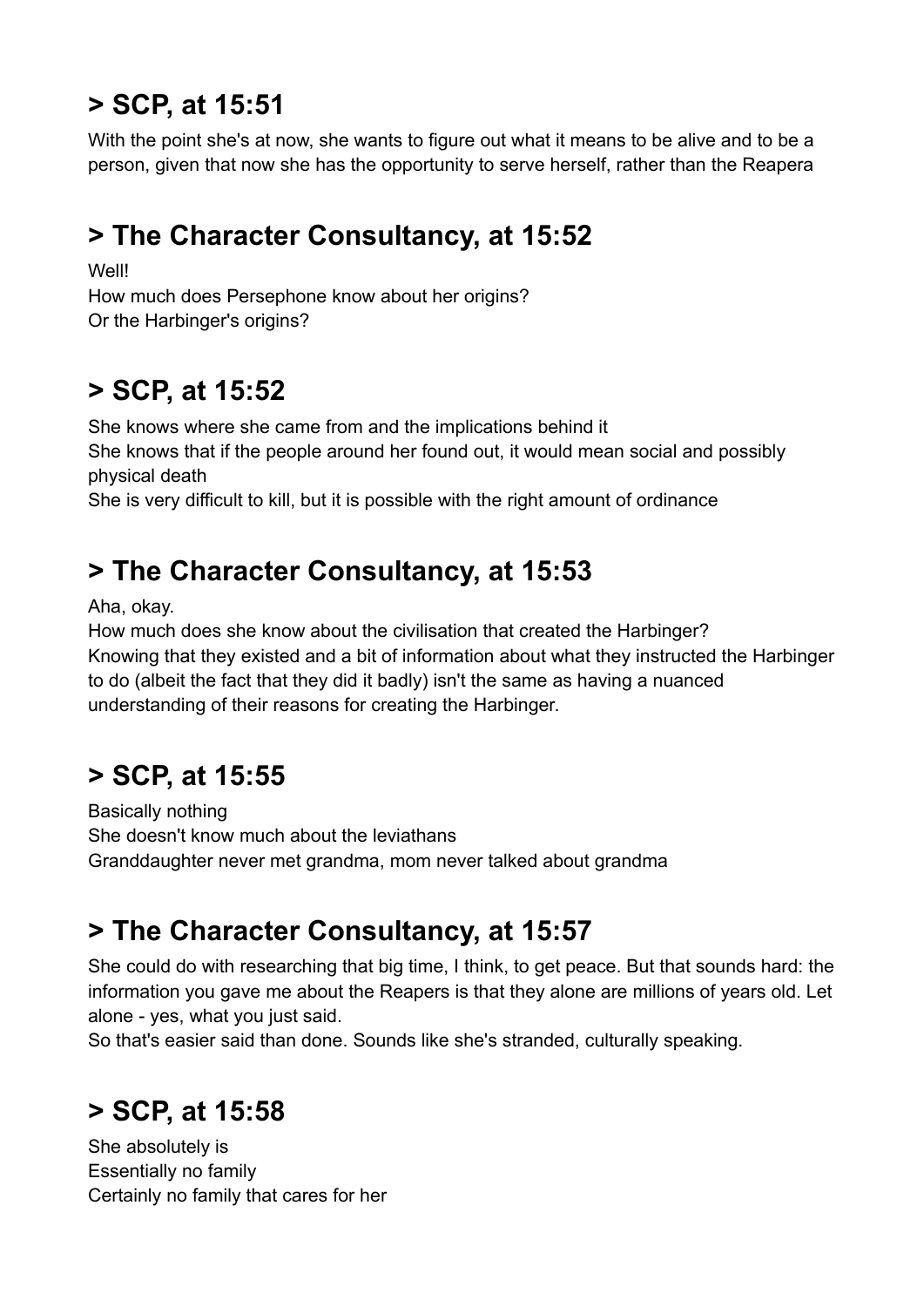With the point she's at now, she wants to figure out what it means to be alive and to be a person, given that now she has the opportunity to serve herself, rather than the Reapera

# **> The Character Consultancy, at 15:52**

Well!

How much does Persephone know about her origins? Or the Harbinger's origins?

# **> SCP, at 15:52**

She knows where she came from and the implications behind it She knows that if the people around her found out, it would mean social and possibly physical death

She is very difficult to kill, but it is possible with the right amount of ordinance

# **> The Character Consultancy, at 15:53**

Aha, okay.

How much does she know about the civilisation that created the Harbinger? Knowing that they existed and a bit of information about what they instructed the Harbinger to do (albeit the fact that they did it badly) isn't the same as having a nuanced understanding of their reasons for creating the Harbinger.

# **> SCP, at 15:55**

Basically nothing She doesn't know much about the leviathans Granddaughter never met grandma, mom never talked about grandma

# **> The Character Consultancy, at 15:57**

She could do with researching that big time, I think, to get peace. But that sounds hard: the information you gave me about the Reapers is that they alone are millions of years old. Let alone - yes, what you just said.

So that's easier said than done. Sounds like she's stranded, culturally speaking.

# **> SCP, at 15:58**

She absolutely is Essentially no family Certainly no family that cares for her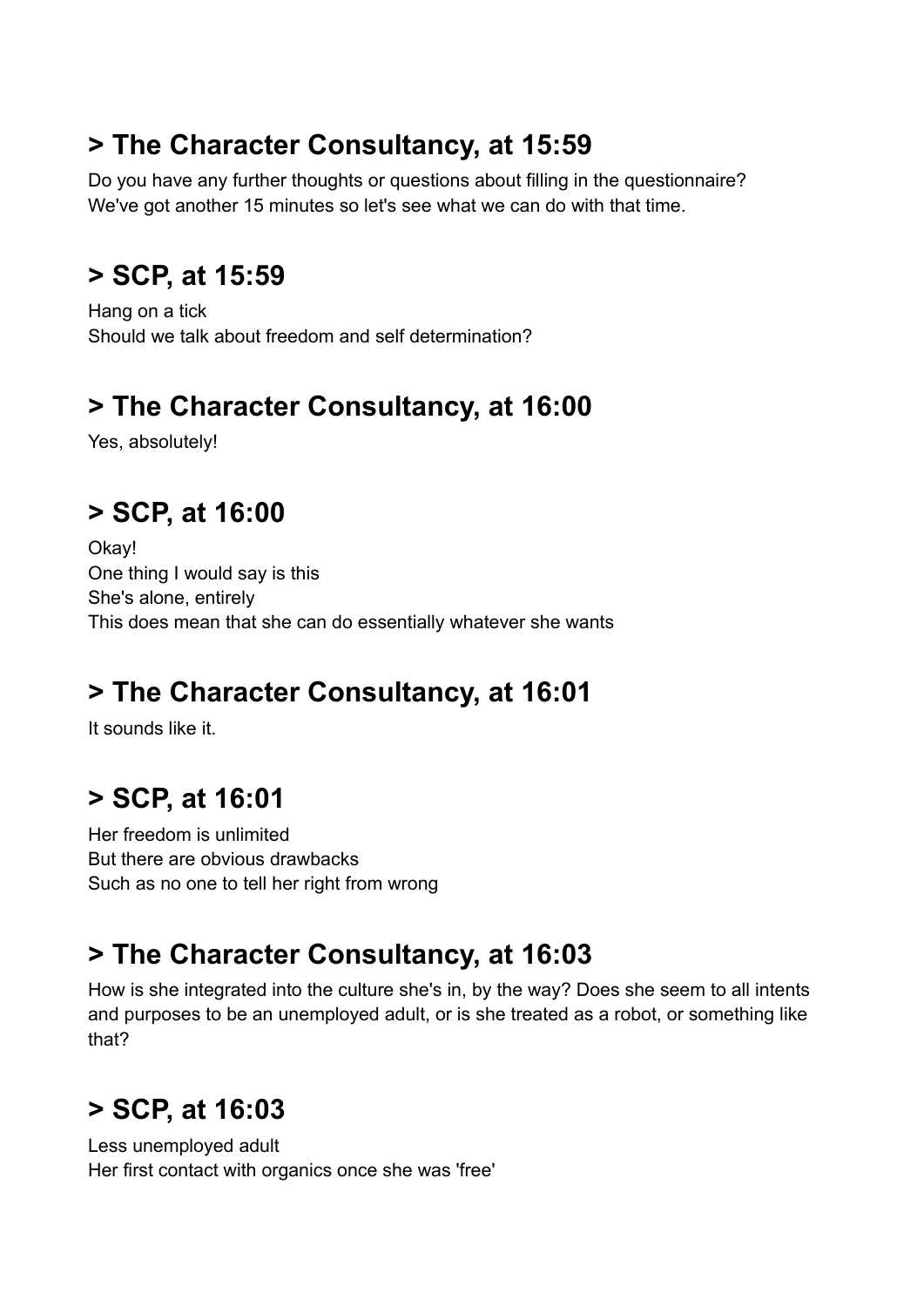# **> The Character Consultancy, at 15:59**

Do you have any further thoughts or questions about filling in the questionnaire? We've got another 15 minutes so let's see what we can do with that time.

# **> SCP, at 15:59**

Hang on a tick Should we talk about freedom and self determination?

### **> The Character Consultancy, at 16:00**

Yes, absolutely!

# **> SCP, at 16:00**

Okay! One thing I would say is this She's alone, entirely This does mean that she can do essentially whatever she wants

# **> The Character Consultancy, at 16:01**

It sounds like it.

# **> SCP, at 16:01**

Her freedom is unlimited But there are obvious drawbacks Such as no one to tell her right from wrong

# **> The Character Consultancy, at 16:03**

How is she integrated into the culture she's in, by the way? Does she seem to all intents and purposes to be an unemployed adult, or is she treated as a robot, or something like that?

# **> SCP, at 16:03**

Less unemployed adult Her first contact with organics once she was 'free'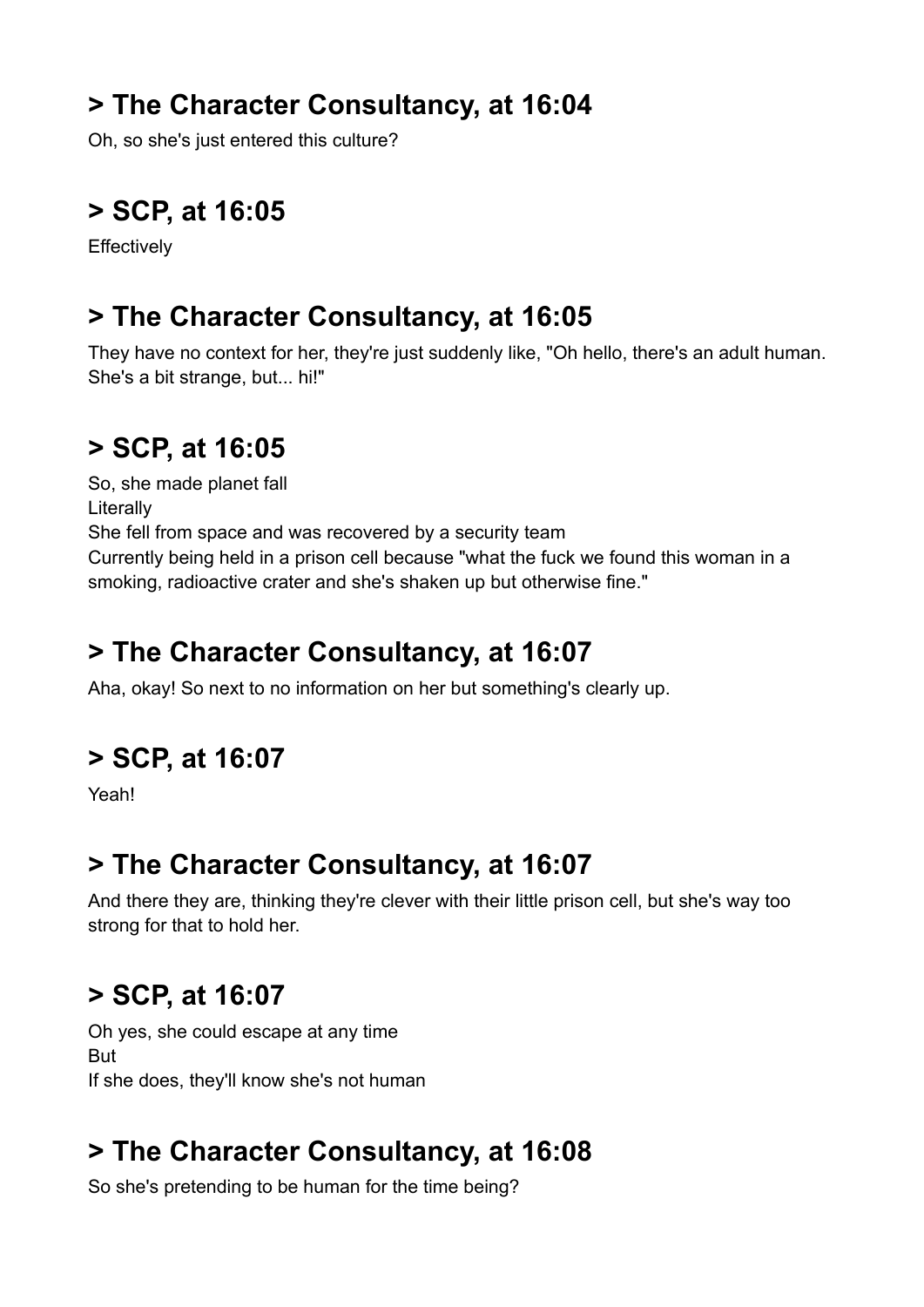# **> The Character Consultancy, at 16:04**

Oh, so she's just entered this culture?

# **> SCP, at 16:05**

**Effectively** 

### **> The Character Consultancy, at 16:05**

They have no context for her, they're just suddenly like, "Oh hello, there's an adult human. She's a bit strange, but... hi!"

### **> SCP, at 16:05**

So, she made planet fall **Literally** She fell from space and was recovered by a security team Currently being held in a prison cell because "what the fuck we found this woman in a smoking, radioactive crater and she's shaken up but otherwise fine."

### **> The Character Consultancy, at 16:07**

Aha, okay! So next to no information on her but something's clearly up.

### **> SCP, at 16:07**

Yeah!

# **> The Character Consultancy, at 16:07**

And there they are, thinking they're clever with their little prison cell, but she's way too strong for that to hold her.

# **> SCP, at 16:07**

Oh yes, she could escape at any time But If she does, they'll know she's not human

# **> The Character Consultancy, at 16:08**

So she's pretending to be human for the time being?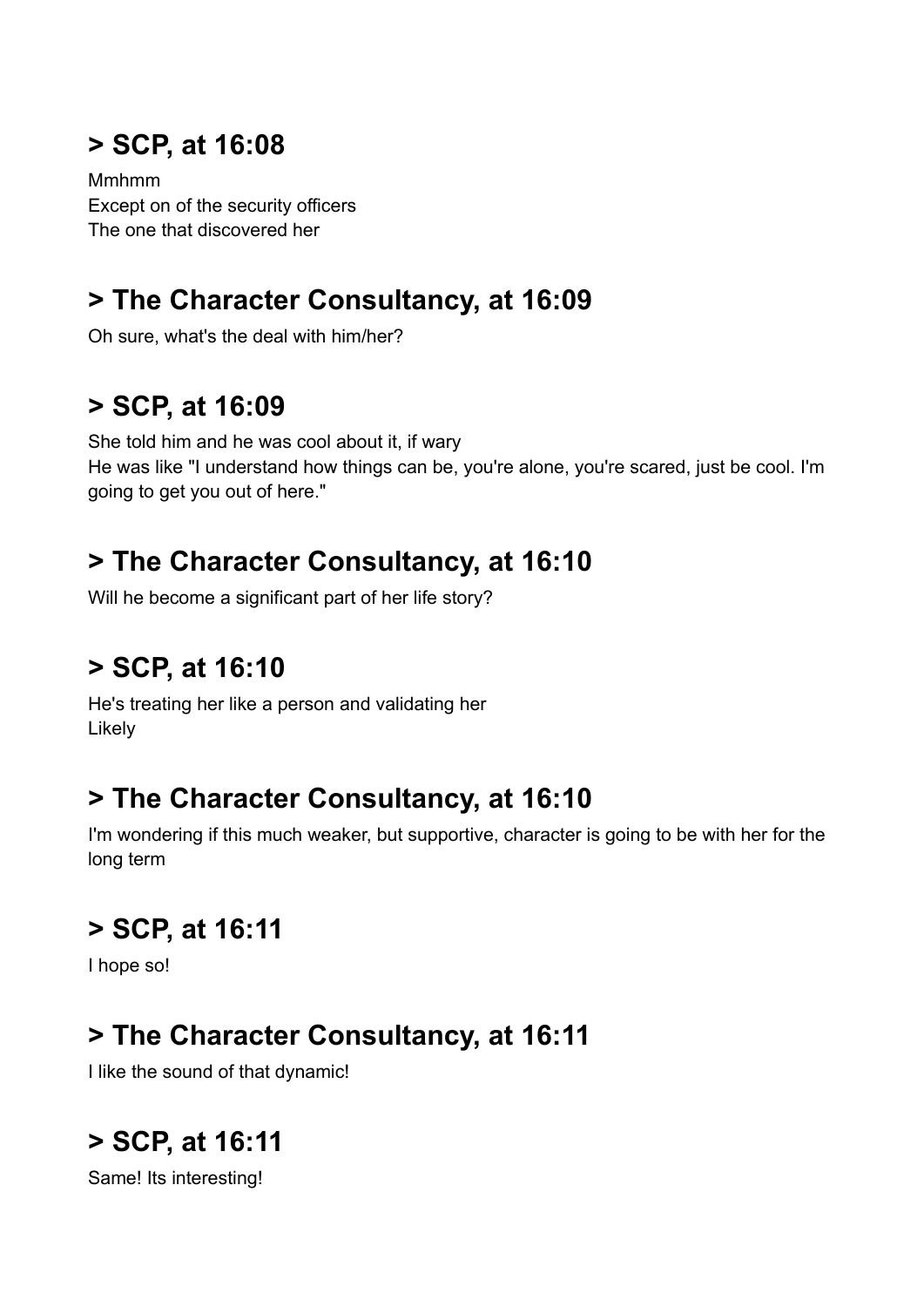Mmhmm Except on of the security officers The one that discovered her

# **> The Character Consultancy, at 16:09**

Oh sure, what's the deal with him/her?

### **> SCP, at 16:09**

She told him and he was cool about it, if wary He was like "I understand how things can be, you're alone, you're scared, just be cool. I'm going to get you out of here."

### **> The Character Consultancy, at 16:10**

Will he become a significant part of her life story?

# **> SCP, at 16:10**

He's treating her like a person and validating her Likely

### **> The Character Consultancy, at 16:10**

I'm wondering if this much weaker, but supportive, character is going to be with her for the long term

### **> SCP, at 16:11**

I hope so!

# **> The Character Consultancy, at 16:11**

I like the sound of that dynamic!

# **> SCP, at 16:11**

Same! Its interesting!